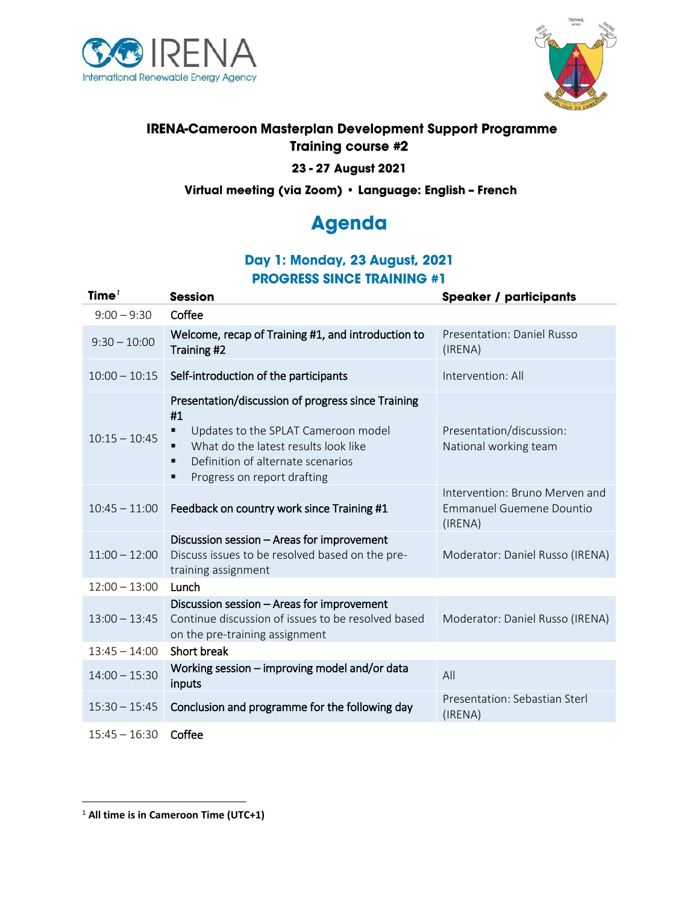



# **IRENA-Cameroon Masterplan Development Support Programme Training course #2**

#### 23 - 27 August 2021

Virtual meeting (via Zoom) · Language: English - French

# **Agenda**

# Day 1: Monday, 23 August, 2021 **PROGRESS SINCE TRAINING #1**

| Time $7$        | <b>Session</b>                                                                                                                                                                                                                          | <b>Speaker / participants</b>                                                |
|-----------------|-----------------------------------------------------------------------------------------------------------------------------------------------------------------------------------------------------------------------------------------|------------------------------------------------------------------------------|
| $9:00 - 9:30$   | Coffee                                                                                                                                                                                                                                  |                                                                              |
| $9:30 - 10:00$  | Welcome, recap of Training #1, and introduction to<br>Training #2                                                                                                                                                                       | Presentation: Daniel Russo<br>(IRENA)                                        |
| $10:00 - 10:15$ | Self-introduction of the participants                                                                                                                                                                                                   | Intervention: All                                                            |
| $10:15 - 10:45$ | Presentation/discussion of progress since Training<br>#1<br>Updates to the SPLAT Cameroon model<br>What do the latest results look like<br>$\blacksquare$<br>Definition of alternate scenarios<br>٠<br>Progress on report drafting<br>■ | Presentation/discussion:<br>National working team                            |
| $10:45 - 11:00$ | Feedback on country work since Training #1                                                                                                                                                                                              | Intervention: Bruno Merven and<br><b>Emmanuel Guemene Dountio</b><br>(IRENA) |
| $11:00 - 12:00$ | Discussion session - Areas for improvement<br>Discuss issues to be resolved based on the pre-<br>training assignment                                                                                                                    | Moderator: Daniel Russo (IRENA)                                              |
| $12:00 - 13:00$ | Lunch                                                                                                                                                                                                                                   |                                                                              |
| $13:00 - 13:45$ | Discussion session - Areas for improvement<br>Continue discussion of issues to be resolved based<br>on the pre-training assignment                                                                                                      | Moderator: Daniel Russo (IRENA)                                              |
| $13:45 - 14:00$ | Short break                                                                                                                                                                                                                             |                                                                              |
| $14:00 - 15:30$ | Working session - improving model and/or data<br>inputs                                                                                                                                                                                 | All                                                                          |
| $15:30 - 15:45$ | Conclusion and programme for the following day                                                                                                                                                                                          | Presentation: Sebastian Sterl<br>(IRENA)                                     |
| $15:45 - 16:30$ | Coffee                                                                                                                                                                                                                                  |                                                                              |

 $1$  All time is in Cameroon Time (UTC+1)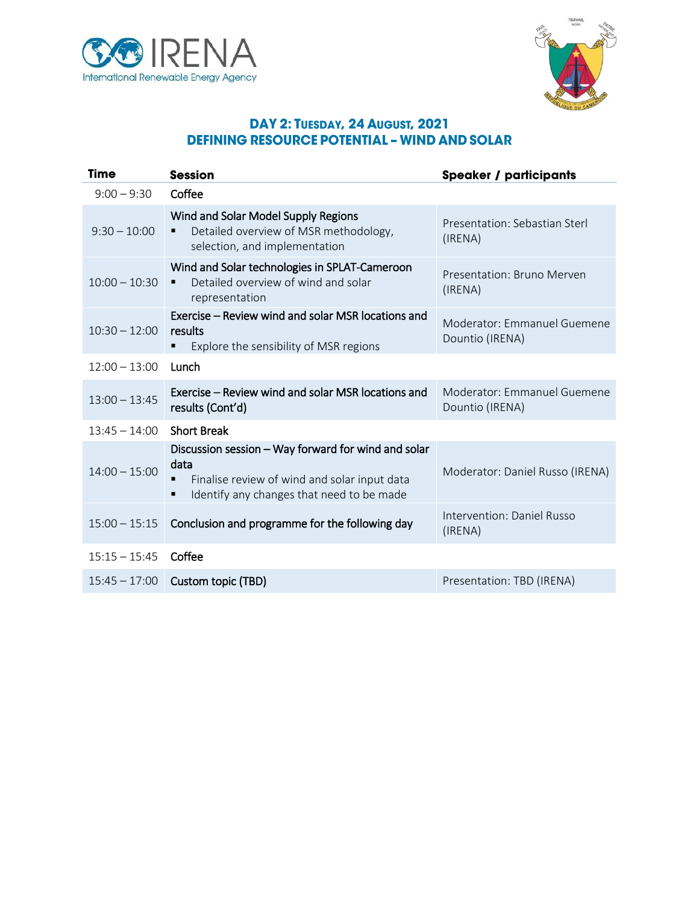



#### DAY 2: TUESDAY, 24 AUGUST, 2021 **DEFINING RESOURCE POTENTIAL - WIND AND SOLAR**

| <b>Time</b>     | <b>Session</b>                                                                                                                                           | <b>Speaker / participants</b>                  |
|-----------------|----------------------------------------------------------------------------------------------------------------------------------------------------------|------------------------------------------------|
| $9:00 - 9:30$   | Coffee                                                                                                                                                   |                                                |
| $9:30 - 10:00$  | Wind and Solar Model Supply Regions<br>Detailed overview of MSR methodology,<br>п<br>selection, and implementation                                       | Presentation: Sebastian Sterl<br>(IRENA)       |
| $10:00 - 10:30$ | Wind and Solar technologies in SPLAT-Cameroon<br>Detailed overview of wind and solar<br>$\blacksquare$<br>representation                                 | Presentation: Bruno Merven<br>(IRENA)          |
| $10:30 - 12:00$ | Exercise – Review wind and solar MSR locations and<br>results<br>Explore the sensibility of MSR regions                                                  | Moderator: Emmanuel Guemene<br>Dountio (IRENA) |
| $12:00 - 13:00$ | Lunch                                                                                                                                                    |                                                |
| $13:00 - 13:45$ | Exercise – Review wind and solar MSR locations and<br>results (Cont'd)                                                                                   | Moderator: Emmanuel Guemene<br>Dountio (IRENA) |
| $13:45 - 14:00$ | <b>Short Break</b>                                                                                                                                       |                                                |
| $14:00 - 15:00$ | Discussion session - Way forward for wind and solar<br>data<br>Finalise review of wind and solar input data<br>Identify any changes that need to be made | Moderator: Daniel Russo (IRENA)                |
| $15:00 - 15:15$ | Conclusion and programme for the following day                                                                                                           | Intervention: Daniel Russo<br>(IRENA)          |
| $15:15 - 15:45$ | Coffee                                                                                                                                                   |                                                |
| $15:45 - 17:00$ | Custom topic (TBD)                                                                                                                                       | Presentation: TBD (IRENA)                      |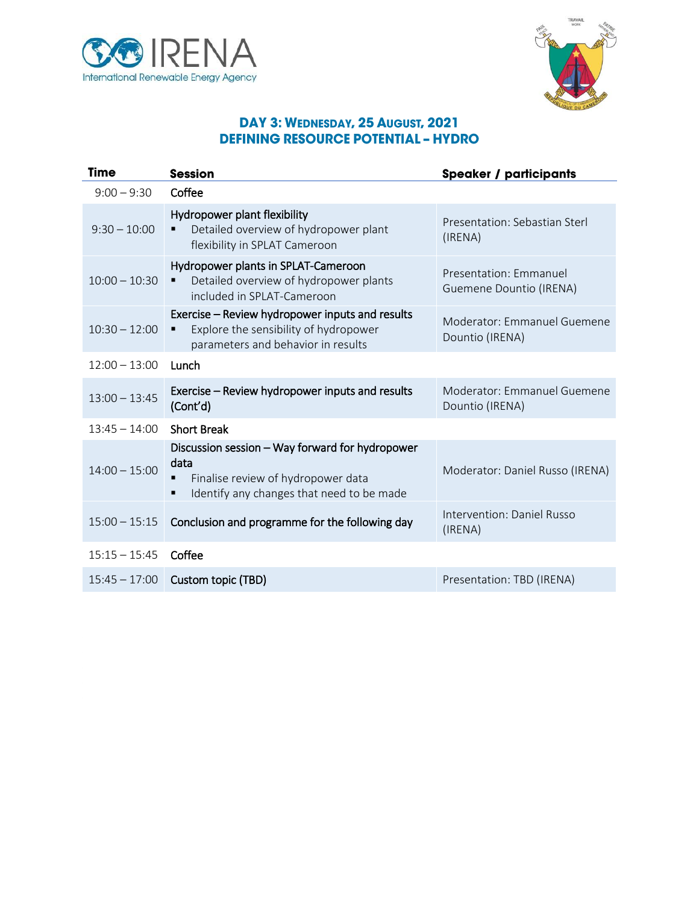



## DAY 3: WEDNESDAY, 25 AUGUST, 2021 **DEFINING RESOURCE POTENTIAL - HYDRO**

| <b>Time</b>     | <b>Session</b>                                                                                                                             | <b>Speaker / participants</b>                     |
|-----------------|--------------------------------------------------------------------------------------------------------------------------------------------|---------------------------------------------------|
| $9:00 - 9:30$   | Coffee                                                                                                                                     |                                                   |
| $9:30 - 10:00$  | Hydropower plant flexibility<br>Detailed overview of hydropower plant<br>flexibility in SPLAT Cameroon                                     | Presentation: Sebastian Sterl<br>(IRENA)          |
| $10:00 - 10:30$ | Hydropower plants in SPLAT-Cameroon<br>Detailed overview of hydropower plants<br>٠<br>included in SPLAT-Cameroon                           | Presentation: Emmanuel<br>Guemene Dountio (IRENA) |
| $10:30 - 12:00$ | Exercise - Review hydropower inputs and results<br>Explore the sensibility of hydropower<br>parameters and behavior in results             | Moderator: Emmanuel Guemene<br>Dountio (IRENA)    |
| $12:00 - 13:00$ | Lunch                                                                                                                                      |                                                   |
| $13:00 - 13:45$ | Exercise – Review hydropower inputs and results<br>(Cont'd)                                                                                | Moderator: Emmanuel Guemene<br>Dountio (IRENA)    |
| $13:45 - 14:00$ | <b>Short Break</b>                                                                                                                         |                                                   |
| $14:00 - 15:00$ | Discussion session - Way forward for hydropower<br>data<br>Finalise review of hydropower data<br>Identify any changes that need to be made | Moderator: Daniel Russo (IRENA)                   |
| $15:00 - 15:15$ | Conclusion and programme for the following day                                                                                             | Intervention: Daniel Russo<br>(IRENA)             |
| $15:15 - 15:45$ | Coffee                                                                                                                                     |                                                   |
| $15:45 - 17:00$ | Custom topic (TBD)                                                                                                                         | Presentation: TBD (IRENA)                         |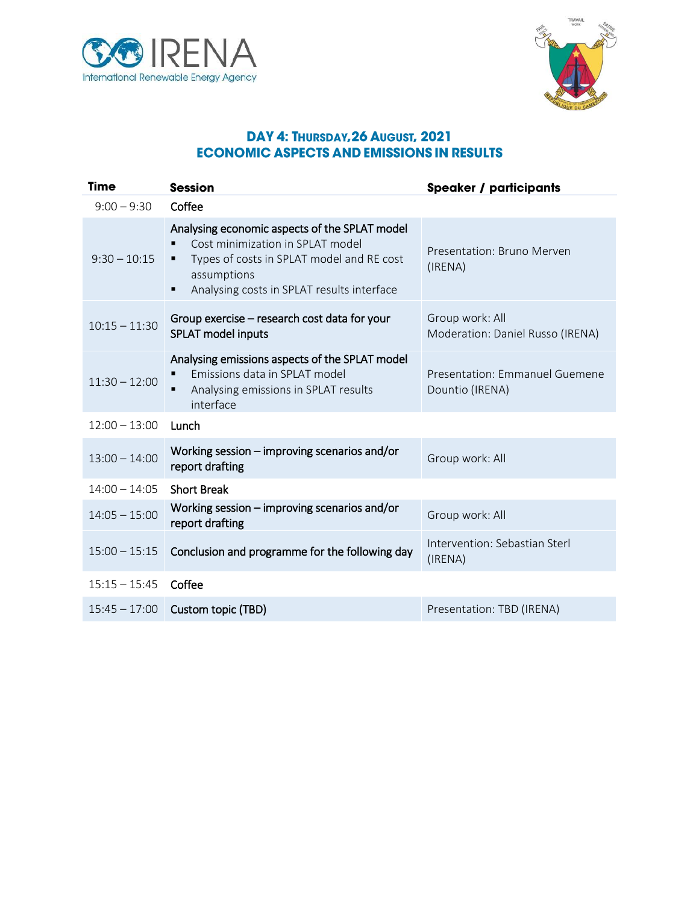



## DAY 4: THURSDAY, 26 AUGUST, 2021 **ECONOMIC ASPECTS AND EMISSIONS IN RESULTS**

| <b>Time</b>     | <b>Session</b>                                                                                                                                                                                   | <b>Speaker / participants</b>                       |
|-----------------|--------------------------------------------------------------------------------------------------------------------------------------------------------------------------------------------------|-----------------------------------------------------|
| $9:00 - 9:30$   | Coffee                                                                                                                                                                                           |                                                     |
| $9:30 - 10:15$  | Analysing economic aspects of the SPLAT model<br>Cost minimization in SPLAT model<br>Types of costs in SPLAT model and RE cost<br>٠<br>assumptions<br>Analysing costs in SPLAT results interface | Presentation: Bruno Merven<br>(IRENA)               |
| $10:15 - 11:30$ | Group exercise – research cost data for your<br><b>SPLAT model inputs</b>                                                                                                                        | Group work: All<br>Moderation: Daniel Russo (IRENA) |
| $11:30 - 12:00$ | Analysing emissions aspects of the SPLAT model<br>Emissions data in SPLAT model<br>Analysing emissions in SPLAT results<br>interface                                                             | Presentation: Emmanuel Guemene<br>Dountio (IRENA)   |
| $12:00 - 13:00$ | Lunch                                                                                                                                                                                            |                                                     |
| $13:00 - 14:00$ | Working session $-$ improving scenarios and/or<br>report drafting                                                                                                                                | Group work: All                                     |
| $14:00 - 14:05$ | <b>Short Break</b>                                                                                                                                                                               |                                                     |
| $14:05 - 15:00$ | Working session $-$ improving scenarios and/or<br>report drafting                                                                                                                                | Group work: All                                     |
| $15:00 - 15:15$ | Conclusion and programme for the following day                                                                                                                                                   | Intervention: Sebastian Sterl<br>(IRENA)            |
| $15:15 - 15:45$ | Coffee                                                                                                                                                                                           |                                                     |
| $15:45 - 17:00$ | Custom topic (TBD)                                                                                                                                                                               | Presentation: TBD (IRENA)                           |